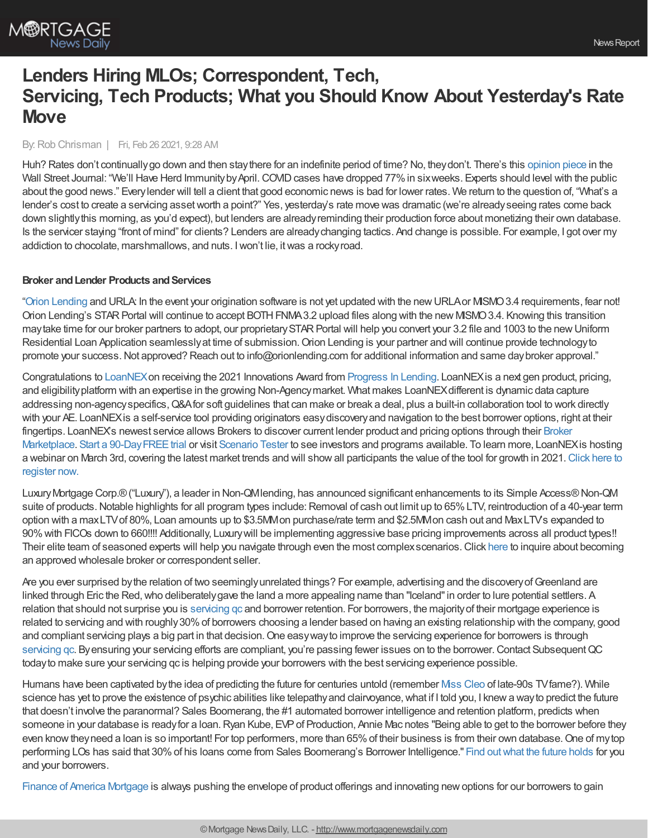# **Lenders Hiring MLOs; Correspondent, Tech, Servicing, Tech Products; What you Should Know About Yesterday's Rate Move**

## By:Rob Chrisman | Fri, Feb 26 2021, 9:28 AM

Huh? Rates don't continuallygo down and then staythere for an indefinite period of time? No, theydon't. There's this [opinion](https://www.wsj.com/articles/well-have-herd-immunity-by-april-11613669731) piece in the Wall Street Journal: "We'll Have Herd Immunity by April. COVID cases have dropped 77% in sixweeks. Experts should level with the public about the good news." Everylender will tell a client that good economic news is bad for lower rates. We return to the question of, "What's a lender's cost to create a servicing assetworth a point?" Yes, yesterday's rate move was dramatic (we're alreadyseeing rates come back down slightlythis morning, as you'd expect), but lenders are alreadyreminding their production force about monetizing their own database. Is the servicer staying "front of mind" for clients? Lenders are alreadychanging tactics. And change is possible. For example, I got over my addiction to chocolate, marshmallows, and nuts. Iwon't lie, itwas a rockyroad.

#### **Broker** and Lender Products and Services

"Orion [Lending](https://www.orionlending.com/training) and URLA: In the event your origination software is not yet updated with the newURLAor MISMO3.4 requirements, fear not! Orion Lending's STARPortal will continue to accept BOTHFNMA3.2 upload files along with the new MISMO3.4. Knowing this transition maytake time for our broker partners to adopt, our proprietarySTARPortal will help you convert your 3.2 file and 1003 to the newUniform Residential Loan Application seamlessly at time of submission. Orion Lending is your partner and will continue provide technology to promote your success. Not approved? Reach out to info@orionlending.com for additional information and same day broker approval."

Congratulations to [LoanNEX](http://www.loannex.com/)on receiving the 2021 Innovations Award from [Progress](https://mymortgagemindset.com/the-2021-innovations-award-winners-are/) In Lending. LoanNEXis a next gen product, pricing, and eligibility platform with an expertise in the growing Non-Agency market. What makes LoanNEX different is dynamic data capture addressing non-agency specifics, Q&A for soft guidelines that can make or break a deal, plus a built-in collaboration tool to work directly with your AE. LoanNEX is a self-service tool providing originators easy discovery and navigation to the best borrower options, right at their fingertips. LoanNEX's newest service allows Brokers to discover current lender product and pricing options through their Broker Marketplace. Start a 90-Day FREE trial or visit [Scenario](https://loannex.com/scenario-tester/) Tester to see investors and programs available. To learn more, LoanNEX is hosting a webinar on March 3rd, covering the latest market trends and will show all [participants](https://zoom.us/webinar/register/WN_umj_b9dRR26i1OI45eRwxA) the value of the tool for growth in 2021. Click here to register now.

LuxuryMortgage Corp.®("Luxury"), a leader in Non-QMlending, has announced significant enhancements to its Simple Access®Non-QM suite of products. Notable highlights for all program types include: Removal of cash out limit up to 65% LTV, reintroduction of a 40-year term option with a maxLTVof 80%, Loan amounts up to \$3.5MMon purchase/rate term and \$2.5MMon cash out and MaxLTV's expanded to 90%with FICOs down to 660!!!! Additionally, Luxurywill be implementing aggressive base pricing improvements across all product types!! Their elite team of seasoned experts will help you navigate through even the most complexscenarios.Click [here](https://luxurymortgagewholesale.com/wsecorr/) to inquire about becoming an approved wholesale broker or correspondent seller.

Are you ever surprised by the relation of two seemingly unrelated things? For example, advertising and the discovery of Greenland are linked through Eric the Red, who deliberately gave the land a more appealing name than "Iceland" in order to lure potential settlers. A relation that should not surprise you is [servicing](https://subsequentqc.com/) qc and borrower retention. For borrowers, the majorityof their mortgage experience is related to servicing and with roughly30%of borrowers choosing a lender based on having an existing relationship with the company, good and compliant servicing plays a big part in that decision. One easy way to improve the servicing experience for borrowers is through [servicing](https://subsequentqc.com/about/) qc. By ensuring your servicing efforts are compliant, you're passing fewer issues on to the borrower. Contact Subsequent QC todayto make sure your servicing qc is helping provide your borrowers with the best servicing experience possible.

Humans have been captivated by the idea of predicting the future for centuries untold (remember Miss [Cleo](https://www.youtube.com/watch?v=-ZwLG7yJg1g) of late-90s TV fame?). While science has yet to prove the existence of psychic abilities like telepathy and clairvoyance, what if I told you, I knew a way to predict the future that doesn't involve the paranormal? Sales Boomerang, the #1 automated borrower intelligence and retention platform, predicts when someone in your database is ready for a loan. Ryan Kube, EVP of Production, Annie Mac notes "Being able to get to the borrower before they even know they need a loan is so important! For top performers, more than 65% of their business is from their own database. One of my top performing LOs has said that 30%of his loans come from Sales Boomerang's Borrower Intelligence." Find [outwhat](https://hubs.ly/H0GXm6f0) the future holds for you and your borrowers.

Finance of America [Mortgage](https://foamortgage.com/) is always pushing the envelope of product offerings and innovating newoptions for our borrowers to gain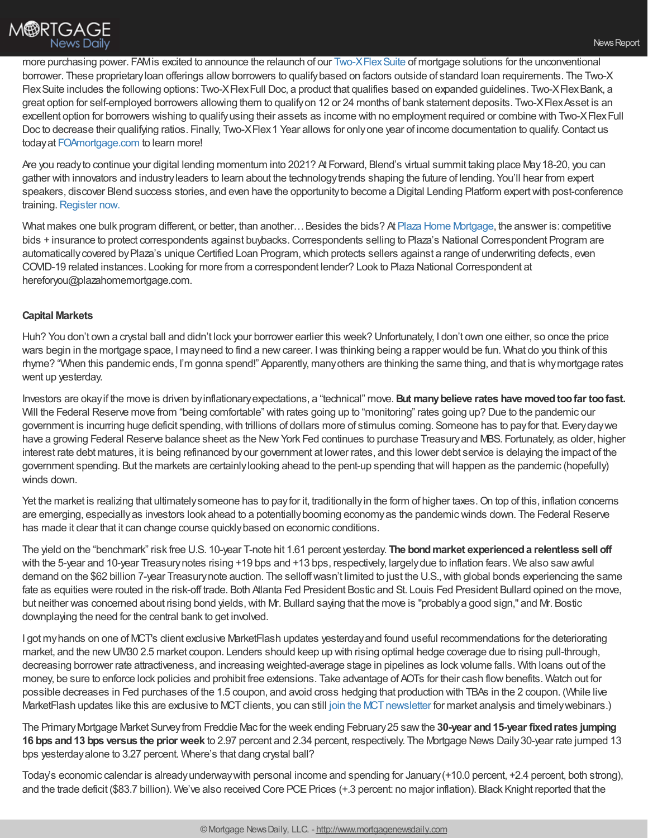more purchasing power. FAMis excited to announce the relaunch of our Two-XFlex Suite of mortgage solutions for the unconventional borrower. These proprietaryloan offerings allowborrowers to qualifybased on factors outside of standard loan requirements. The Two-X FlexSuite includes the following options: Two-XFlexFull Doc, a product that qualifies based on expanded guidelines. Two-XFlexBank, a great option for self-employed borrowers allowing them to qualifyon 12 or 24 months of bank statement deposits. Two-XFlexAsset is an excellent option for borrowers wishing to qualifyusing their assets as income with no employment required or combine with Two-XFlexFull Doc to decrease their qualifying ratios. Finally, Two-XFlex 1 Year allows for only one year of income documentation to qualify. Contact us todayat [FOAmortgage.com](https://foamortgage.com/) to learn more!

Are you readyto continue your digital lending momentum into 2021? At Forward, Blend's virtual summit taking place May18-20, you can gather with innovators and industryleaders to learn about the technologytrends shaping the future of lending. You'll hear from expert speakers, discover Blend success stories, and even have the opportunityto become a Digital Lending Platform expertwith post-conference training. [Register](https://forward.blend.com/?utm_source=chrisman&utm_medium=email&utm_campaign=forward-S21) now.

What makes one bulk program different, or better, than another... Besides the bids? At Plaza Home [Mortgage](http://plazahomemortgage.com/), the answer is: competitive bids + insurance to protect correspondents against buybacks. Correspondents selling to Plaza's National Correspondent Program are automatically covered by Plaza's unique Certified Loan Program, which protects sellers against a range of underwriting defects, even COVID-19 related instances. Looking for more from a correspondent lender? Look to Plaza National Correspondent at hereforyou@plazahomemortgage.com.

# **Capital Markets**

Huh? You don't own a crystal ball and didn't lock your borrower earlier this week? Unfortunately, I don't own one either, so once the price wars begin in the mortgage space, I mayneed to find a newcareer. Iwas thinking being a rapper would be fun. What do you think of this rhyme? "When this pandemic ends, I'm gonna spend!" Apparently, manyothers are thinking the same thing, and that is whymortgage rates went up yesterday.

Investors are okayif the move is driven byinflationaryexpectations, a "technical" move.**But manybelieve rates have movedtoofar toofast.** Will the Federal Reserve move from "being comfortable" with rates going up to "monitoring" rates going up? Due to the pandemic our government is incurring huge deficit spending, with trillions of dollars more of stimulus coming. Someone has to pay for that. Every day we have a growing Federal Reserve balance sheet as the New York Fed continues to purchase Treasury and MBS. Fortunately, as older, higher interest rate debt matures, it is being refinanced byour government at lower rates, and this lower debt service is delaying the impact of the government spending. But the markets are certainlylooking ahead to the pent-up spending thatwill happen as the pandemic (hopefully) winds down.

Yet the market is realizing that ultimately someone has to pay for it, traditionally in the form of higher taxes. On top of this, inflation concerns are emerging, especiallyas investors look ahead to a potentiallybooming economyas the pandemicwinds down. The Federal Reserve has made it clear that it can change course quickly based on economic conditions.

The yield on the "benchmark" risk free U.S. 10-year T-note hit 1.61 percent yesterday. **The bondmarket experienceda relentless sell off** with the 5-year and 10-year Treasurynotes rising +19 bps and +13 bps, respectively, largelydue to inflation fears. We also sawawful demand on the \$62 billion 7-year Treasury note auction. The selloff wasn't limited to just the U.S., with global bonds experiencing the same fate as equities were routed in the risk-off trade. Both Atlanta Fed President Bostic and St. Louis Fed President Bullard opined on the move, but neither was concerned about rising bond yields,with Mr. Bullard saying that the move is "probablya good sign," and Mr. Bostic downplaying the need for the central bank to get involved.

I got myhands on one of MCT's client exclusive MarketFlash updates yesterdayand found useful recommendations for the deteriorating market, and the newUM30 2.5 market coupon. Lenders should keep up with rising optimal hedge coverage due to rising pull-through, decreasing borrower rate attractiveness, and increasing weighted-average stage in pipelines as lock volume falls. With loans out of the money, be sure to enforce lock policies and prohibit free extensions. Take advantage of AOTs for their cash flowbenefits. Watch out for possible decreases in Fed purchases of the 1.5 coupon, and avoid cross hedging that production with TBAs in the 2 coupon. (While live MarketFlash updates like this are exclusive to MCT clients, you can still join the MCT newsletter for market analysis and timely webinars.)

The PrimaryMortgage Market Surveyfrom Freddie Mac for the week ending February25 sawthe **30-year and15-year fixedrates jumping 16 bps and13 bps versus the prior week** to 2.97 percent and 2.34 percent, respectively. The Mortgage News Daily30-year rate jumped 13 bps yesterdayalone to 3.27 percent. Where's that dang crystal ball?

Today's economic calendar is alreadyunderway with personal income and spending for January (+10.0 percent, +2.4 percent, both strong), and the trade deficit (\$83.7 billion). We've also received Core PCE Prices (+.3 percent: no major inflation). Black Knight reported that the